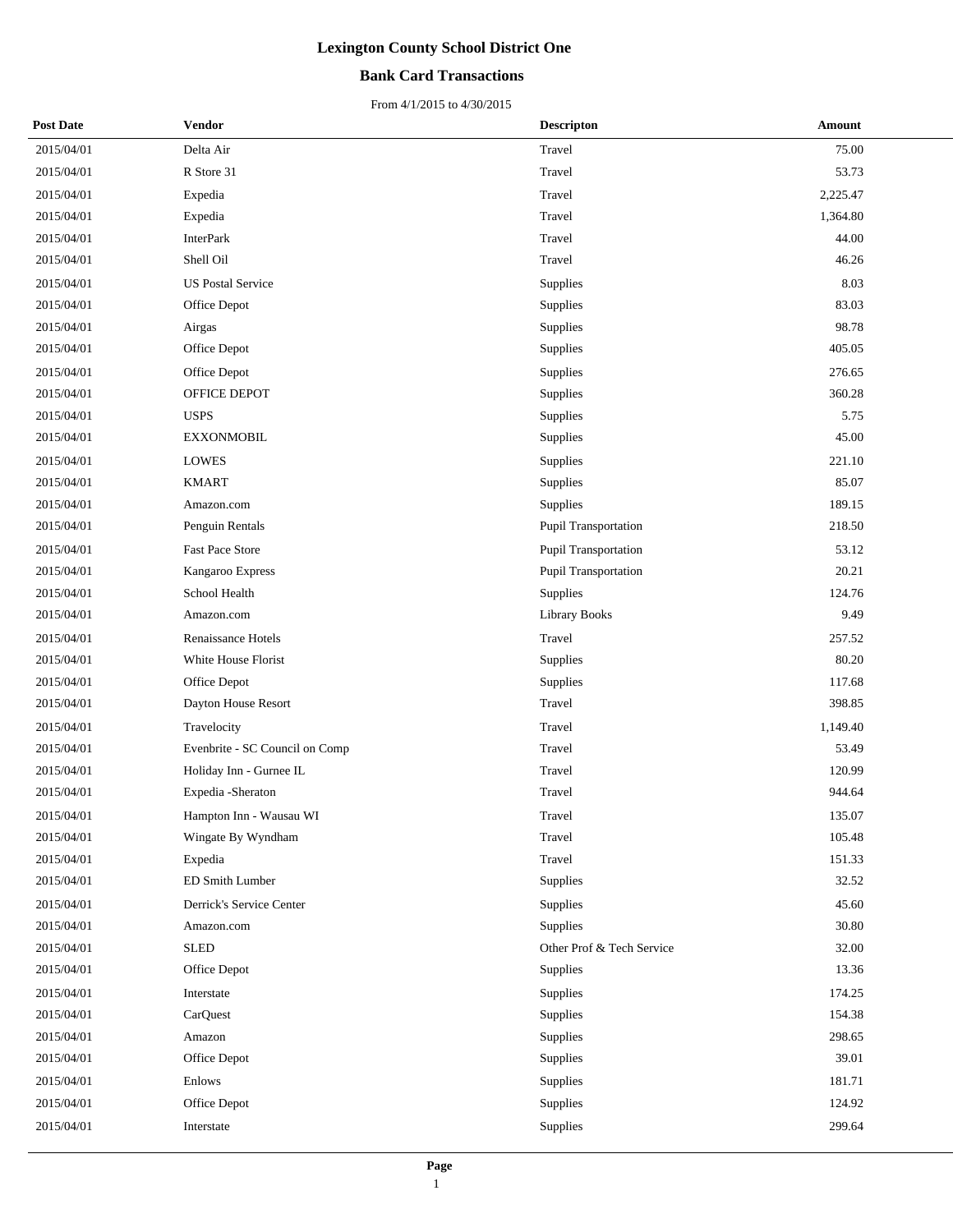### **Bank Card Transactions**

| <b>Post Date</b> | Vendor                         | <b>Descripton</b>         | Amount   |
|------------------|--------------------------------|---------------------------|----------|
| 2015/04/01       | Delta Air                      | Travel                    | 75.00    |
| 2015/04/01       | R Store 31                     | Travel                    | 53.73    |
| 2015/04/01       | Expedia                        | Travel                    | 2,225.47 |
| 2015/04/01       | Expedia                        | Travel                    | 1,364.80 |
| 2015/04/01       | <b>InterPark</b>               | Travel                    | 44.00    |
| 2015/04/01       | Shell Oil                      | Travel                    | 46.26    |
| 2015/04/01       | <b>US Postal Service</b>       | Supplies                  | 8.03     |
| 2015/04/01       | Office Depot                   | Supplies                  | 83.03    |
| 2015/04/01       | Airgas                         | Supplies                  | 98.78    |
| 2015/04/01       | Office Depot                   | Supplies                  | 405.05   |
| 2015/04/01       | Office Depot                   | Supplies                  | 276.65   |
| 2015/04/01       | OFFICE DEPOT                   | Supplies                  | 360.28   |
| 2015/04/01       | <b>USPS</b>                    | Supplies                  | 5.75     |
| 2015/04/01       | <b>EXXONMOBIL</b>              | Supplies                  | 45.00    |
| 2015/04/01       | LOWES                          | Supplies                  | 221.10   |
| 2015/04/01       | <b>KMART</b>                   | Supplies                  | 85.07    |
| 2015/04/01       | Amazon.com                     | Supplies                  | 189.15   |
| 2015/04/01       | Penguin Rentals                | Pupil Transportation      | 218.50   |
| 2015/04/01       | <b>Fast Pace Store</b>         | Pupil Transportation      | 53.12    |
| 2015/04/01       | Kangaroo Express               | Pupil Transportation      | 20.21    |
| 2015/04/01       | School Health                  | Supplies                  | 124.76   |
| 2015/04/01       | Amazon.com                     | <b>Library Books</b>      | 9.49     |
| 2015/04/01       | Renaissance Hotels             | Travel                    | 257.52   |
| 2015/04/01       | White House Florist            | Supplies                  | 80.20    |
| 2015/04/01       | Office Depot                   | Supplies                  | 117.68   |
| 2015/04/01       | Dayton House Resort            | Travel                    | 398.85   |
| 2015/04/01       | Travelocity                    | Travel                    | 1,149.40 |
| 2015/04/01       | Evenbrite - SC Council on Comp | Travel                    | 53.49    |
| 2015/04/01       | Holiday Inn - Gurnee IL        | Travel                    | 120.99   |
| 2015/04/01       | Expedia - Sheraton             | Travel                    | 944.64   |
| 2015/04/01       | Hampton Inn - Wausau WI        | Travel                    | 135.07   |
| 2015/04/01       | Wingate By Wyndham             | Travel                    | 105.48   |
| 2015/04/01       | Expedia                        | Travel                    | 151.33   |
| 2015/04/01       | ED Smith Lumber                | Supplies                  | 32.52    |
| 2015/04/01       | Derrick's Service Center       | Supplies                  | 45.60    |
| 2015/04/01       | Amazon.com                     | Supplies                  | 30.80    |
| 2015/04/01       | <b>SLED</b>                    | Other Prof & Tech Service | 32.00    |
| 2015/04/01       | Office Depot                   | <b>Supplies</b>           | 13.36    |
| 2015/04/01       | Interstate                     | Supplies                  | 174.25   |
| 2015/04/01       | CarQuest                       | Supplies                  | 154.38   |
| 2015/04/01       | Amazon                         | Supplies                  | 298.65   |
| 2015/04/01       | Office Depot                   | Supplies                  | 39.01    |
| 2015/04/01       | Enlows                         | Supplies                  | 181.71   |
| 2015/04/01       | Office Depot                   | Supplies                  | 124.92   |
| 2015/04/01       | Interstate                     | Supplies                  | 299.64   |
|                  |                                |                           |          |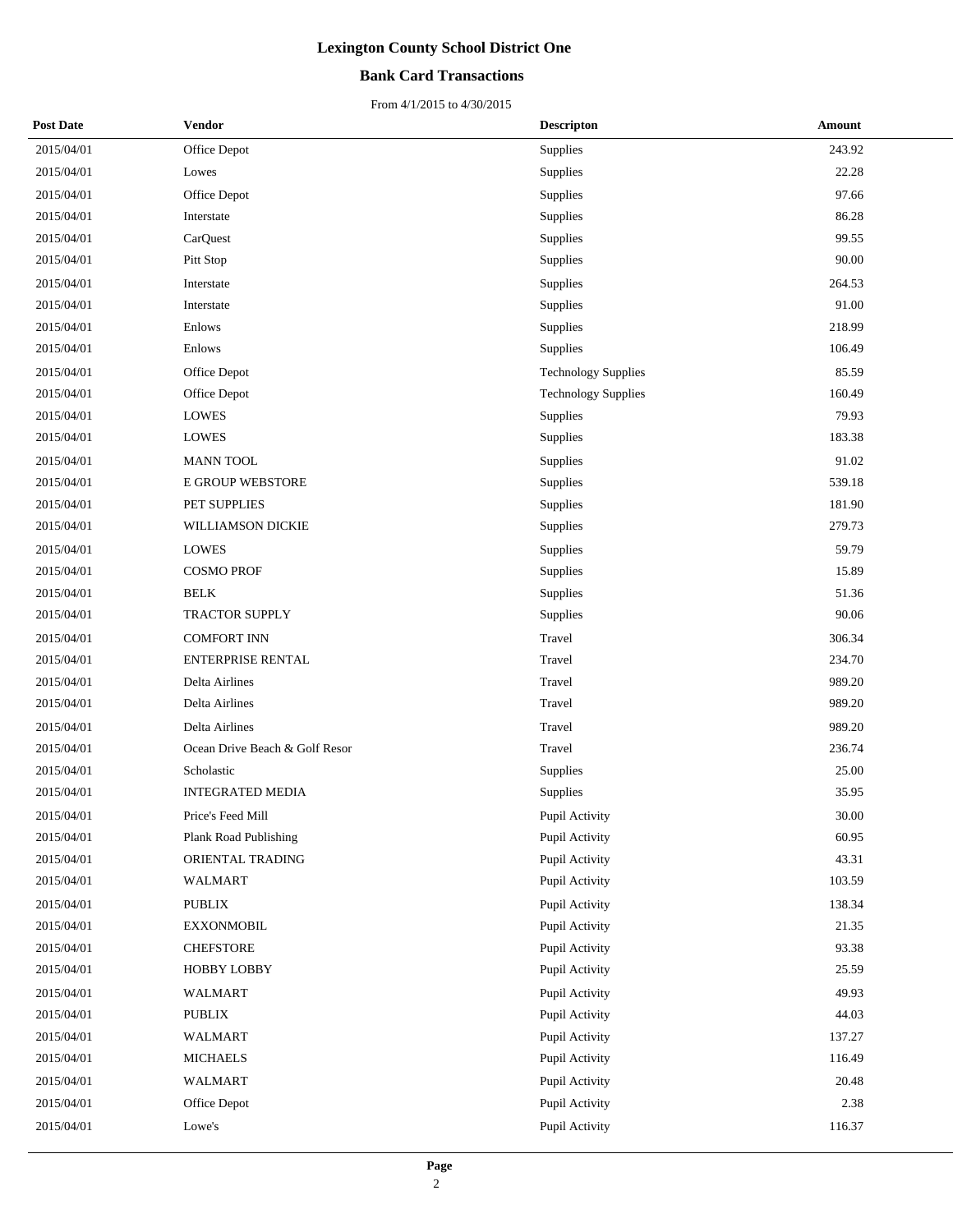### **Bank Card Transactions**

| <b>Post Date</b> | Vendor                         | <b>Descripton</b>          | Amount |
|------------------|--------------------------------|----------------------------|--------|
| 2015/04/01       | Office Depot                   | Supplies                   | 243.92 |
| 2015/04/01       | Lowes                          | Supplies                   | 22.28  |
| 2015/04/01       | Office Depot                   | Supplies                   | 97.66  |
| 2015/04/01       | Interstate                     | Supplies                   | 86.28  |
| 2015/04/01       | CarQuest                       | Supplies                   | 99.55  |
| 2015/04/01       | Pitt Stop                      | Supplies                   | 90.00  |
| 2015/04/01       | Interstate                     | Supplies                   | 264.53 |
| 2015/04/01       | Interstate                     | Supplies                   | 91.00  |
| 2015/04/01       | Enlows                         | Supplies                   | 218.99 |
| 2015/04/01       | Enlows                         | Supplies                   | 106.49 |
| 2015/04/01       | Office Depot                   | <b>Technology Supplies</b> | 85.59  |
| 2015/04/01       | Office Depot                   | <b>Technology Supplies</b> | 160.49 |
| 2015/04/01       | <b>LOWES</b>                   | Supplies                   | 79.93  |
| 2015/04/01       | <b>LOWES</b>                   | Supplies                   | 183.38 |
| 2015/04/01       | <b>MANN TOOL</b>               | Supplies                   | 91.02  |
| 2015/04/01       | E GROUP WEBSTORE               | Supplies                   | 539.18 |
| 2015/04/01       | PET SUPPLIES                   | Supplies                   | 181.90 |
| 2015/04/01       | WILLIAMSON DICKIE              | Supplies                   | 279.73 |
| 2015/04/01       | <b>LOWES</b>                   | Supplies                   | 59.79  |
| 2015/04/01       | <b>COSMO PROF</b>              | Supplies                   | 15.89  |
| 2015/04/01       | <b>BELK</b>                    | Supplies                   | 51.36  |
| 2015/04/01       | TRACTOR SUPPLY                 | Supplies                   | 90.06  |
| 2015/04/01       | <b>COMFORT INN</b>             | Travel                     | 306.34 |
| 2015/04/01       | ENTERPRISE RENTAL              | Travel                     | 234.70 |
| 2015/04/01       | Delta Airlines                 | Travel                     | 989.20 |
| 2015/04/01       | Delta Airlines                 | Travel                     | 989.20 |
| 2015/04/01       | Delta Airlines                 | Travel                     | 989.20 |
| 2015/04/01       | Ocean Drive Beach & Golf Resor | Travel                     | 236.74 |
| 2015/04/01       | Scholastic                     | Supplies                   | 25.00  |
| 2015/04/01       | <b>INTEGRATED MEDIA</b>        | Supplies                   | 35.95  |
| 2015/04/01       | Price's Feed Mill              | Pupil Activity             | 30.00  |
| 2015/04/01       | <b>Plank Road Publishing</b>   | Pupil Activity             | 60.95  |
| 2015/04/01       | ORIENTAL TRADING               | Pupil Activity             | 43.31  |
| 2015/04/01       | <b>WALMART</b>                 | Pupil Activity             | 103.59 |
| 2015/04/01       | PUBLIX                         | Pupil Activity             | 138.34 |
| 2015/04/01       | <b>EXXONMOBIL</b>              | Pupil Activity             | 21.35  |
| 2015/04/01       | <b>CHEFSTORE</b>               | Pupil Activity             | 93.38  |
| 2015/04/01       | <b>HOBBY LOBBY</b>             | Pupil Activity             | 25.59  |
| 2015/04/01       | <b>WALMART</b>                 | Pupil Activity             | 49.93  |
| 2015/04/01       | PUBLIX                         | Pupil Activity             | 44.03  |
| 2015/04/01       | <b>WALMART</b>                 | Pupil Activity             | 137.27 |
| 2015/04/01       | <b>MICHAELS</b>                | Pupil Activity             | 116.49 |
| 2015/04/01       | <b>WALMART</b>                 | Pupil Activity             | 20.48  |
| 2015/04/01       | Office Depot                   | Pupil Activity             | 2.38   |
| 2015/04/01       | Lowe's                         | Pupil Activity             | 116.37 |
|                  |                                |                            |        |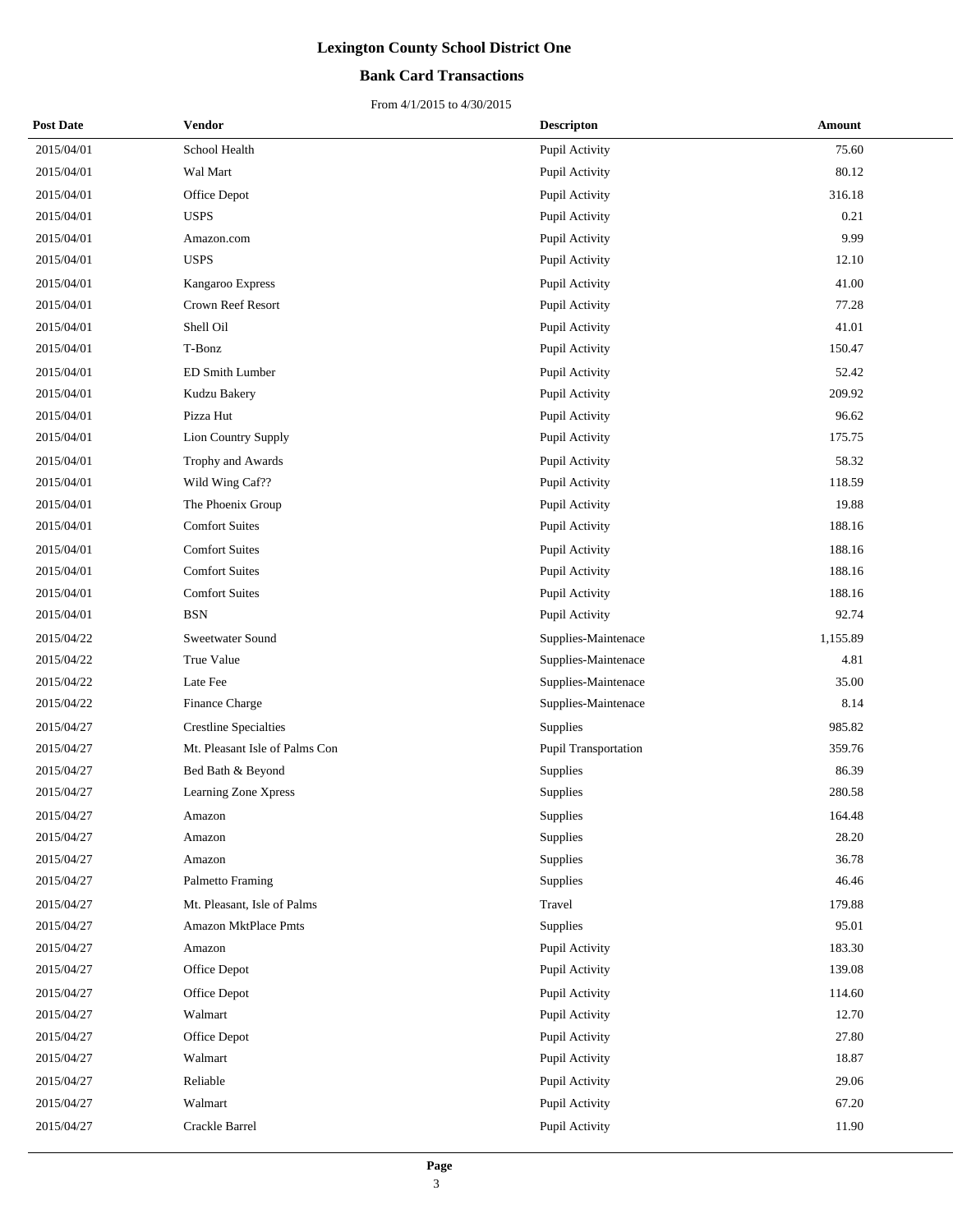### **Bank Card Transactions**

| <b>Post Date</b> | Vendor                         | <b>Descripton</b>    | Amount   |
|------------------|--------------------------------|----------------------|----------|
| 2015/04/01       | School Health                  | Pupil Activity       | 75.60    |
| 2015/04/01       | Wal Mart                       | Pupil Activity       | 80.12    |
| 2015/04/01       | Office Depot                   | Pupil Activity       | 316.18   |
| 2015/04/01       | <b>USPS</b>                    | Pupil Activity       | 0.21     |
| 2015/04/01       | Amazon.com                     | Pupil Activity       | 9.99     |
| 2015/04/01       | <b>USPS</b>                    | Pupil Activity       | 12.10    |
| 2015/04/01       | Kangaroo Express               | Pupil Activity       | 41.00    |
| 2015/04/01       | Crown Reef Resort              | Pupil Activity       | 77.28    |
| 2015/04/01       | Shell Oil                      | Pupil Activity       | 41.01    |
| 2015/04/01       | T-Bonz                         | Pupil Activity       | 150.47   |
| 2015/04/01       | ED Smith Lumber                | Pupil Activity       | 52.42    |
| 2015/04/01       | Kudzu Bakery                   | Pupil Activity       | 209.92   |
| 2015/04/01       | Pizza Hut                      | Pupil Activity       | 96.62    |
| 2015/04/01       | Lion Country Supply            | Pupil Activity       | 175.75   |
| 2015/04/01       | Trophy and Awards              | Pupil Activity       | 58.32    |
| 2015/04/01       | Wild Wing Caf??                | Pupil Activity       | 118.59   |
| 2015/04/01       | The Phoenix Group              | Pupil Activity       | 19.88    |
| 2015/04/01       | <b>Comfort Suites</b>          | Pupil Activity       | 188.16   |
| 2015/04/01       | <b>Comfort Suites</b>          | Pupil Activity       | 188.16   |
| 2015/04/01       | <b>Comfort Suites</b>          | Pupil Activity       | 188.16   |
| 2015/04/01       | <b>Comfort Suites</b>          | Pupil Activity       | 188.16   |
| 2015/04/01       | <b>BSN</b>                     | Pupil Activity       | 92.74    |
| 2015/04/22       | <b>Sweetwater Sound</b>        | Supplies-Maintenace  | 1,155.89 |
| 2015/04/22       | True Value                     | Supplies-Maintenace  | 4.81     |
| 2015/04/22       | Late Fee                       | Supplies-Maintenace  | 35.00    |
| 2015/04/22       | Finance Charge                 | Supplies-Maintenace  | 8.14     |
| 2015/04/27       | <b>Crestline Specialties</b>   | <b>Supplies</b>      | 985.82   |
| 2015/04/27       | Mt. Pleasant Isle of Palms Con | Pupil Transportation | 359.76   |
| 2015/04/27       | Bed Bath & Beyond              | Supplies             | 86.39    |
| 2015/04/27       | Learning Zone Xpress           | Supplies             | 280.58   |
| 2015/04/27       | Amazon                         | Supplies             | 164.48   |
| 2015/04/27       | Amazon                         | Supplies             | 28.20    |
| 2015/04/27       | Amazon                         | <b>Supplies</b>      | 36.78    |
| 2015/04/27       | Palmetto Framing               | Supplies             | 46.46    |
| 2015/04/27       | Mt. Pleasant, Isle of Palms    | Travel               | 179.88   |
| 2015/04/27       | Amazon MktPlace Pmts           | Supplies             | 95.01    |
| 2015/04/27       | Amazon                         | Pupil Activity       | 183.30   |
| 2015/04/27       | Office Depot                   | Pupil Activity       | 139.08   |
| 2015/04/27       | Office Depot                   | Pupil Activity       | 114.60   |
| 2015/04/27       | Walmart                        | Pupil Activity       | 12.70    |
| 2015/04/27       | Office Depot                   | Pupil Activity       | 27.80    |
| 2015/04/27       | Walmart                        | Pupil Activity       | 18.87    |
| 2015/04/27       | Reliable                       | Pupil Activity       | 29.06    |
| 2015/04/27       | Walmart                        | Pupil Activity       | 67.20    |
| 2015/04/27       | Crackle Barrel                 | Pupil Activity       | 11.90    |
|                  |                                |                      |          |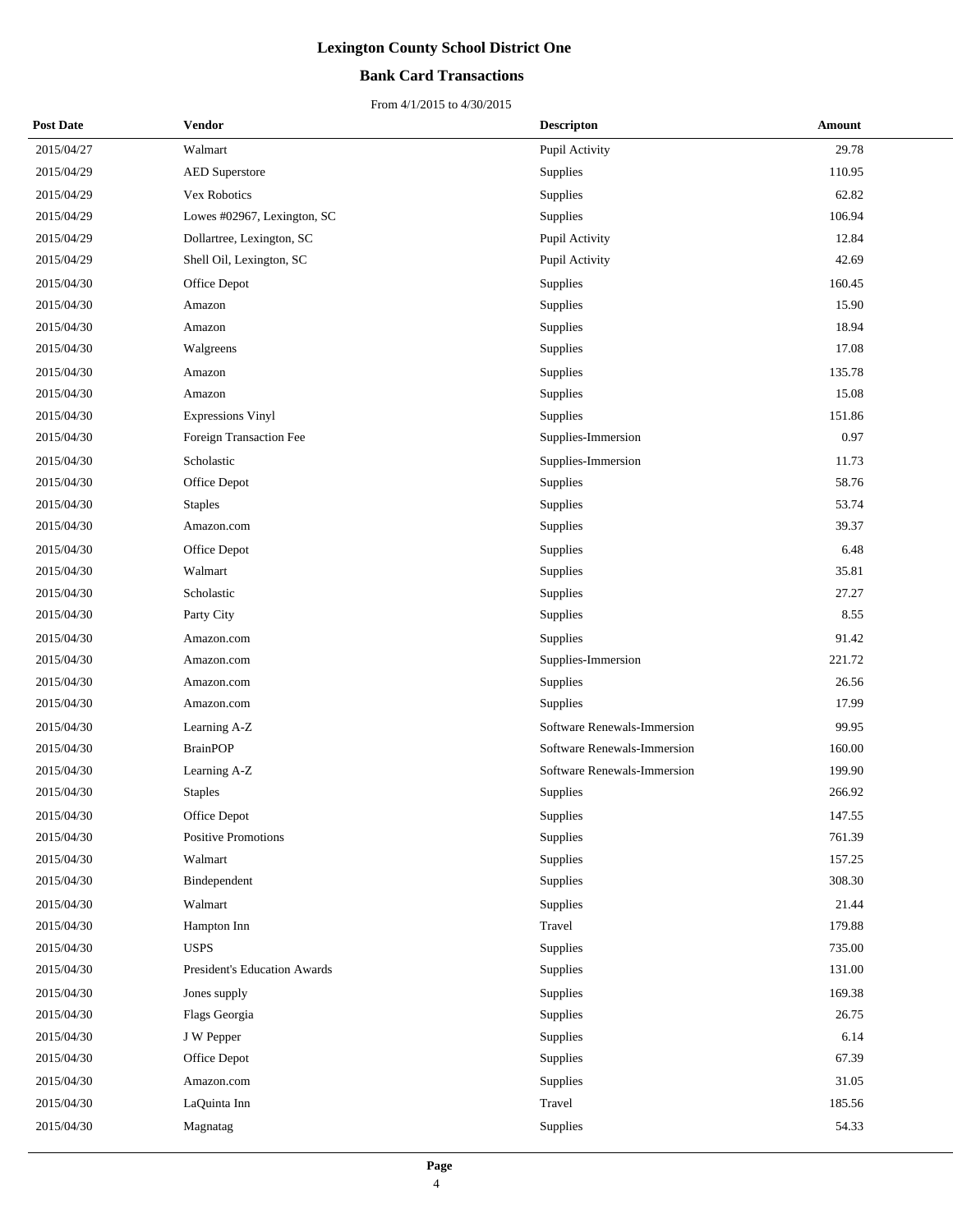### **Bank Card Transactions**

| <b>Post Date</b> | Vendor                       | <b>Descripton</b>           | Amount |
|------------------|------------------------------|-----------------------------|--------|
| 2015/04/27       | Walmart                      | Pupil Activity              | 29.78  |
| 2015/04/29       | <b>AED</b> Superstore        | Supplies                    | 110.95 |
| 2015/04/29       | Vex Robotics                 | Supplies                    | 62.82  |
| 2015/04/29       | Lowes #02967, Lexington, SC  | Supplies                    | 106.94 |
| 2015/04/29       | Dollartree, Lexington, SC    | Pupil Activity              | 12.84  |
| 2015/04/29       | Shell Oil, Lexington, SC     | Pupil Activity              | 42.69  |
| 2015/04/30       | Office Depot                 | Supplies                    | 160.45 |
| 2015/04/30       | Amazon                       | <b>Supplies</b>             | 15.90  |
| 2015/04/30       | Amazon                       | Supplies                    | 18.94  |
| 2015/04/30       | Walgreens                    | Supplies                    | 17.08  |
| 2015/04/30       | Amazon                       | Supplies                    | 135.78 |
| 2015/04/30       | Amazon                       | <b>Supplies</b>             | 15.08  |
| 2015/04/30       | <b>Expressions Vinyl</b>     | Supplies                    | 151.86 |
| 2015/04/30       | Foreign Transaction Fee      | Supplies-Immersion          | 0.97   |
| 2015/04/30       | Scholastic                   | Supplies-Immersion          | 11.73  |
| 2015/04/30       | Office Depot                 | <b>Supplies</b>             | 58.76  |
| 2015/04/30       | <b>Staples</b>               | Supplies                    | 53.74  |
| 2015/04/30       | Amazon.com                   | Supplies                    | 39.37  |
| 2015/04/30       | Office Depot                 | Supplies                    | 6.48   |
| 2015/04/30       | Walmart                      | <b>Supplies</b>             | 35.81  |
| 2015/04/30       | Scholastic                   | Supplies                    | 27.27  |
| 2015/04/30       | Party City                   | Supplies                    | 8.55   |
| 2015/04/30       | Amazon.com                   | <b>Supplies</b>             | 91.42  |
| 2015/04/30       | Amazon.com                   | Supplies-Immersion          | 221.72 |
| 2015/04/30       | Amazon.com                   | Supplies                    | 26.56  |
| 2015/04/30       | Amazon.com                   | Supplies                    | 17.99  |
| 2015/04/30       | Learning A-Z                 | Software Renewals-Immersion | 99.95  |
| 2015/04/30       | <b>BrainPOP</b>              | Software Renewals-Immersion | 160.00 |
| 2015/04/30       | Learning A-Z                 | Software Renewals-Immersion | 199.90 |
| 2015/04/30       | <b>Staples</b>               | Supplies                    | 266.92 |
| 2015/04/30       | Office Depot                 | Supplies                    | 147.55 |
| 2015/04/30       | Positive Promotions          | Supplies                    | 761.39 |
| 2015/04/30       | Walmart                      | Supplies                    | 157.25 |
| 2015/04/30       | Bindependent                 | Supplies                    | 308.30 |
| 2015/04/30       | Walmart                      | Supplies                    | 21.44  |
| 2015/04/30       | Hampton Inn                  | Travel                      | 179.88 |
| 2015/04/30       | <b>USPS</b>                  | Supplies                    | 735.00 |
| 2015/04/30       | President's Education Awards | Supplies                    | 131.00 |
| 2015/04/30       | Jones supply                 | Supplies                    | 169.38 |
| 2015/04/30       | Flags Georgia                | Supplies                    | 26.75  |
| 2015/04/30       | J W Pepper                   | Supplies                    | 6.14   |
| 2015/04/30       | Office Depot                 | Supplies                    | 67.39  |
| 2015/04/30       | Amazon.com                   | Supplies                    | 31.05  |
| 2015/04/30       | LaQuinta Inn                 | Travel                      | 185.56 |
| 2015/04/30       | Magnatag                     | Supplies                    | 54.33  |
|                  |                              |                             |        |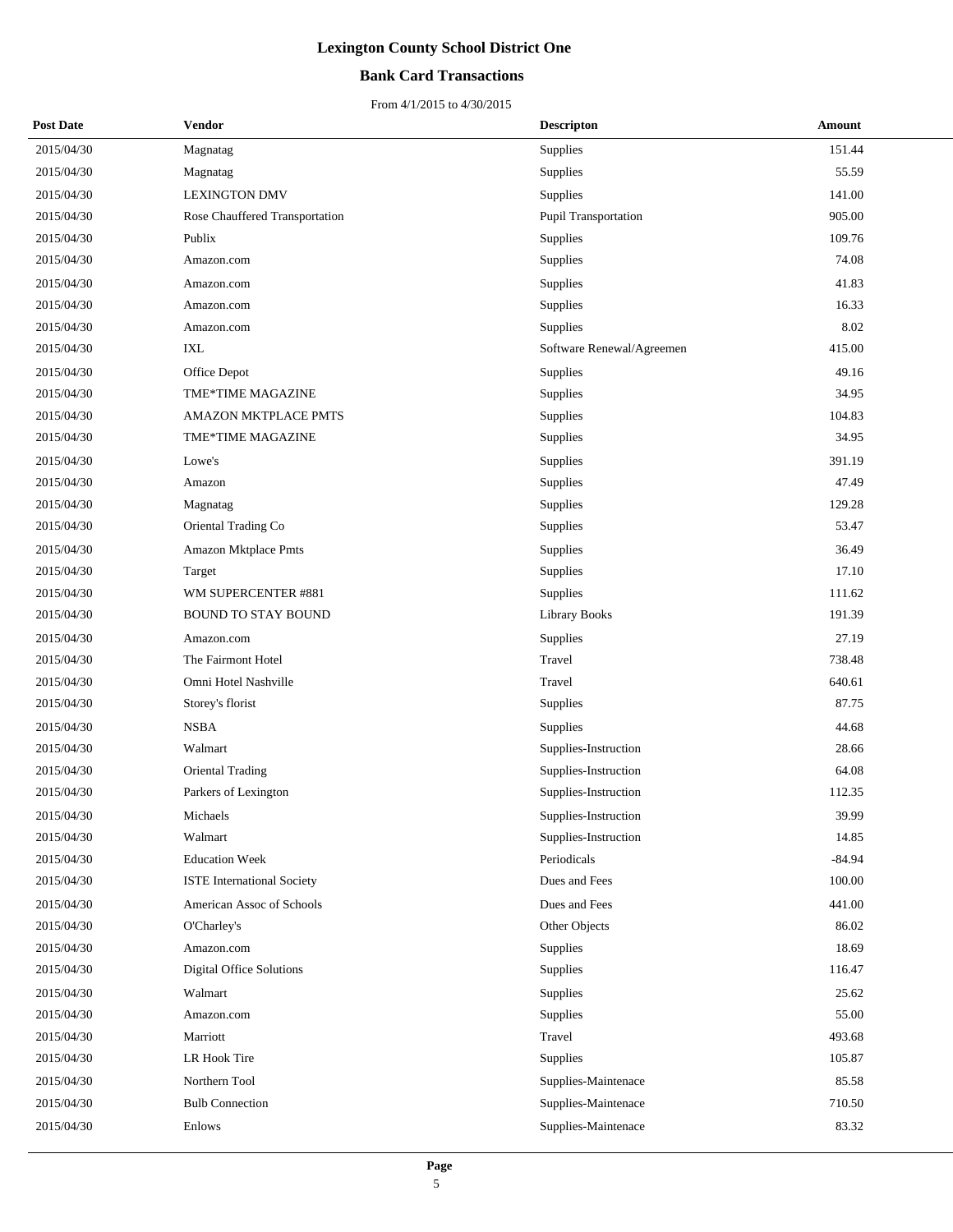### **Bank Card Transactions**

| <b>Post Date</b> | Vendor                            | <b>Descripton</b>         | Amount   |
|------------------|-----------------------------------|---------------------------|----------|
| 2015/04/30       | Magnatag                          | Supplies                  | 151.44   |
| 2015/04/30       | Magnatag                          | Supplies                  | 55.59    |
| 2015/04/30       | <b>LEXINGTON DMV</b>              | Supplies                  | 141.00   |
| 2015/04/30       | Rose Chauffered Transportation    | Pupil Transportation      | 905.00   |
| 2015/04/30       | Publix                            | Supplies                  | 109.76   |
| 2015/04/30       | Amazon.com                        | <b>Supplies</b>           | 74.08    |
| 2015/04/30       | Amazon.com                        | Supplies                  | 41.83    |
| 2015/04/30       | Amazon.com                        | Supplies                  | 16.33    |
| 2015/04/30       | Amazon.com                        | Supplies                  | 8.02     |
| 2015/04/30       | IXL                               | Software Renewal/Agreemen | 415.00   |
| 2015/04/30       | Office Depot                      | Supplies                  | 49.16    |
| 2015/04/30       | TME*TIME MAGAZINE                 | Supplies                  | 34.95    |
| 2015/04/30       | AMAZON MKTPLACE PMTS              | Supplies                  | 104.83   |
| 2015/04/30       | TME*TIME MAGAZINE                 | Supplies                  | 34.95    |
| 2015/04/30       | Lowe's                            | Supplies                  | 391.19   |
| 2015/04/30       | Amazon                            | Supplies                  | 47.49    |
| 2015/04/30       | Magnatag                          | Supplies                  | 129.28   |
| 2015/04/30       | Oriental Trading Co               | Supplies                  | 53.47    |
| 2015/04/30       | Amazon Mktplace Pmts              | Supplies                  | 36.49    |
| 2015/04/30       | Target                            | Supplies                  | 17.10    |
| 2015/04/30       | WM SUPERCENTER #881               | Supplies                  | 111.62   |
| 2015/04/30       | <b>BOUND TO STAY BOUND</b>        | <b>Library Books</b>      | 191.39   |
| 2015/04/30       | Amazon.com                        | Supplies                  | 27.19    |
| 2015/04/30       | The Fairmont Hotel                | Travel                    | 738.48   |
| 2015/04/30       | Omni Hotel Nashville              | Travel                    | 640.61   |
| 2015/04/30       | Storey's florist                  | Supplies                  | 87.75    |
| 2015/04/30       | <b>NSBA</b>                       | Supplies                  | 44.68    |
| 2015/04/30       | Walmart                           | Supplies-Instruction      | 28.66    |
| 2015/04/30       | <b>Oriental Trading</b>           | Supplies-Instruction      | 64.08    |
| 2015/04/30       | Parkers of Lexington              | Supplies-Instruction      | 112.35   |
| 2015/04/30       | Michaels                          | Supplies-Instruction      | 39.99    |
| 2015/04/30       | Walmart                           | Supplies-Instruction      | 14.85    |
| 2015/04/30       | <b>Education Week</b>             | Periodicals               | $-84.94$ |
| 2015/04/30       | <b>ISTE International Society</b> | Dues and Fees             | 100.00   |
| 2015/04/30       | American Assoc of Schools         | Dues and Fees             | 441.00   |
| 2015/04/30       | O'Charley's                       | Other Objects             | 86.02    |
| 2015/04/30       | Amazon.com                        | Supplies                  | 18.69    |
| 2015/04/30       | Digital Office Solutions          | Supplies                  | 116.47   |
| 2015/04/30       | Walmart                           | Supplies                  | 25.62    |
| 2015/04/30       | Amazon.com                        | Supplies                  | 55.00    |
| 2015/04/30       | Marriott                          | Travel                    | 493.68   |
| 2015/04/30       | LR Hook Tire                      | Supplies                  | 105.87   |
| 2015/04/30       | Northern Tool                     | Supplies-Maintenace       | 85.58    |
| 2015/04/30       | <b>Bulb Connection</b>            | Supplies-Maintenace       | 710.50   |
| 2015/04/30       | Enlows                            | Supplies-Maintenace       | 83.32    |
|                  |                                   |                           |          |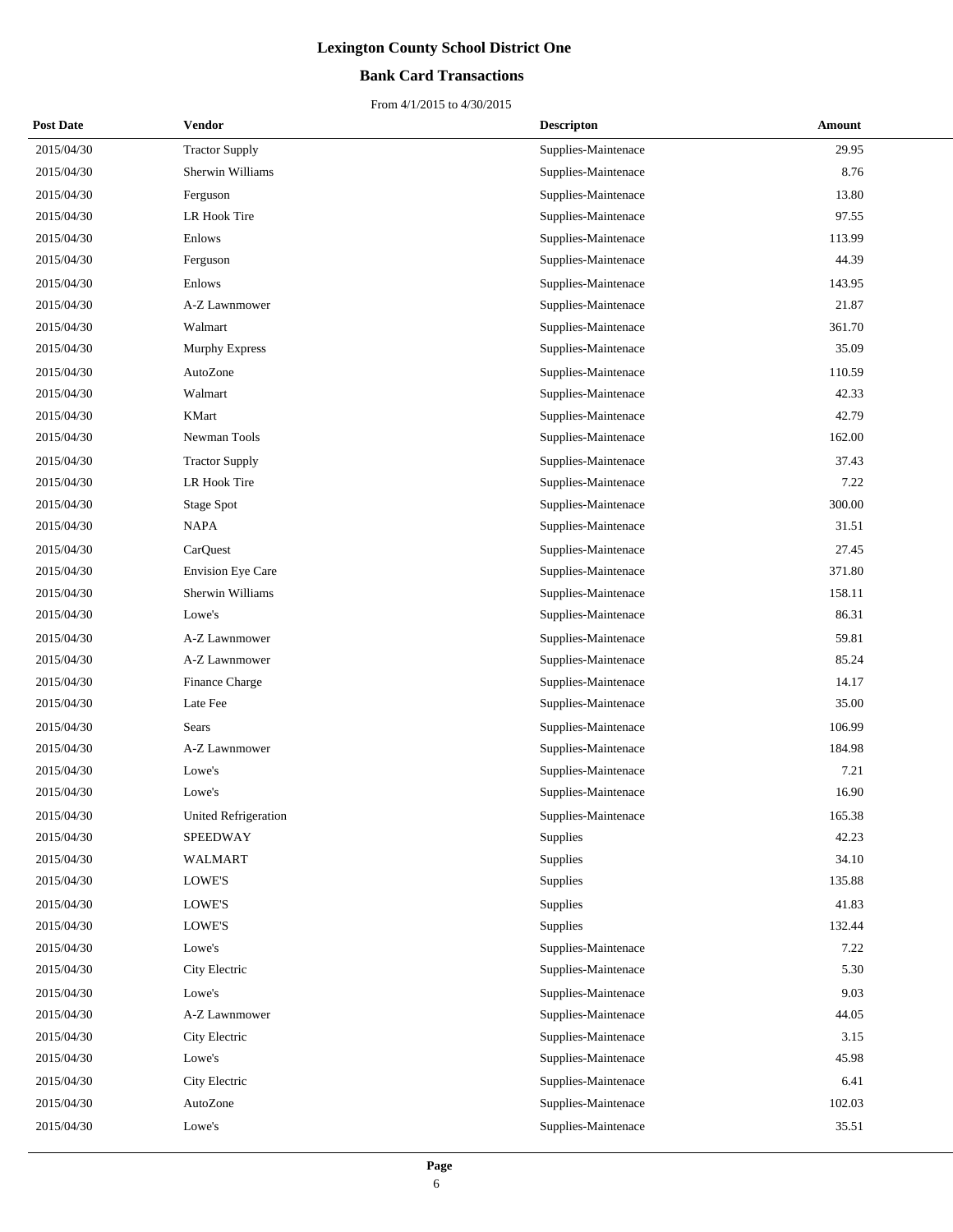### **Bank Card Transactions**

| <b>Post Date</b> | Vendor                   | <b>Descripton</b>   | Amount |
|------------------|--------------------------|---------------------|--------|
| 2015/04/30       | <b>Tractor Supply</b>    | Supplies-Maintenace | 29.95  |
| 2015/04/30       | Sherwin Williams         | Supplies-Maintenace | 8.76   |
| 2015/04/30       | Ferguson                 | Supplies-Maintenace | 13.80  |
| 2015/04/30       | LR Hook Tire             | Supplies-Maintenace | 97.55  |
| 2015/04/30       | Enlows                   | Supplies-Maintenace | 113.99 |
| 2015/04/30       | Ferguson                 | Supplies-Maintenace | 44.39  |
| 2015/04/30       | Enlows                   | Supplies-Maintenace | 143.95 |
| 2015/04/30       | A-Z Lawnmower            | Supplies-Maintenace | 21.87  |
| 2015/04/30       | Walmart                  | Supplies-Maintenace | 361.70 |
| 2015/04/30       | <b>Murphy Express</b>    | Supplies-Maintenace | 35.09  |
| 2015/04/30       | AutoZone                 | Supplies-Maintenace | 110.59 |
| 2015/04/30       | Walmart                  | Supplies-Maintenace | 42.33  |
| 2015/04/30       | <b>KMart</b>             | Supplies-Maintenace | 42.79  |
| 2015/04/30       | Newman Tools             | Supplies-Maintenace | 162.00 |
| 2015/04/30       | <b>Tractor Supply</b>    | Supplies-Maintenace | 37.43  |
| 2015/04/30       | LR Hook Tire             | Supplies-Maintenace | 7.22   |
| 2015/04/30       | <b>Stage Spot</b>        | Supplies-Maintenace | 300.00 |
| 2015/04/30       | <b>NAPA</b>              | Supplies-Maintenace | 31.51  |
| 2015/04/30       | CarQuest                 | Supplies-Maintenace | 27.45  |
| 2015/04/30       | <b>Envision Eye Care</b> | Supplies-Maintenace | 371.80 |
| 2015/04/30       | Sherwin Williams         | Supplies-Maintenace | 158.11 |
| 2015/04/30       | Lowe's                   | Supplies-Maintenace | 86.31  |
| 2015/04/30       | A-Z Lawnmower            | Supplies-Maintenace | 59.81  |
| 2015/04/30       | A-Z Lawnmower            | Supplies-Maintenace | 85.24  |
| 2015/04/30       | Finance Charge           | Supplies-Maintenace | 14.17  |
| 2015/04/30       | Late Fee                 | Supplies-Maintenace | 35.00  |
| 2015/04/30       | <b>Sears</b>             | Supplies-Maintenace | 106.99 |
| 2015/04/30       | A-Z Lawnmower            | Supplies-Maintenace | 184.98 |
| 2015/04/30       | Lowe's                   | Supplies-Maintenace | 7.21   |
| 2015/04/30       | Lowe's                   | Supplies-Maintenace | 16.90  |
| 2015/04/30       | United Refrigeration     | Supplies-Maintenace | 165.38 |
| 2015/04/30       | SPEEDWAY                 | Supplies            | 42.23  |
| 2015/04/30       | WALMART                  | Supplies            | 34.10  |
| 2015/04/30       | LOWE'S                   | Supplies            | 135.88 |
| 2015/04/30       | LOWE'S                   | Supplies            | 41.83  |
| 2015/04/30       | LOWE'S                   | Supplies            | 132.44 |
| 2015/04/30       | Lowe's                   | Supplies-Maintenace | 7.22   |
| 2015/04/30       | City Electric            | Supplies-Maintenace | 5.30   |
| 2015/04/30       | Lowe's                   | Supplies-Maintenace | 9.03   |
| 2015/04/30       | A-Z Lawnmower            | Supplies-Maintenace | 44.05  |
| 2015/04/30       | City Electric            | Supplies-Maintenace | 3.15   |
| 2015/04/30       | Lowe's                   | Supplies-Maintenace | 45.98  |
| 2015/04/30       | City Electric            | Supplies-Maintenace | 6.41   |
| 2015/04/30       | AutoZone                 | Supplies-Maintenace | 102.03 |
| 2015/04/30       | Lowe's                   | Supplies-Maintenace | 35.51  |
|                  |                          |                     |        |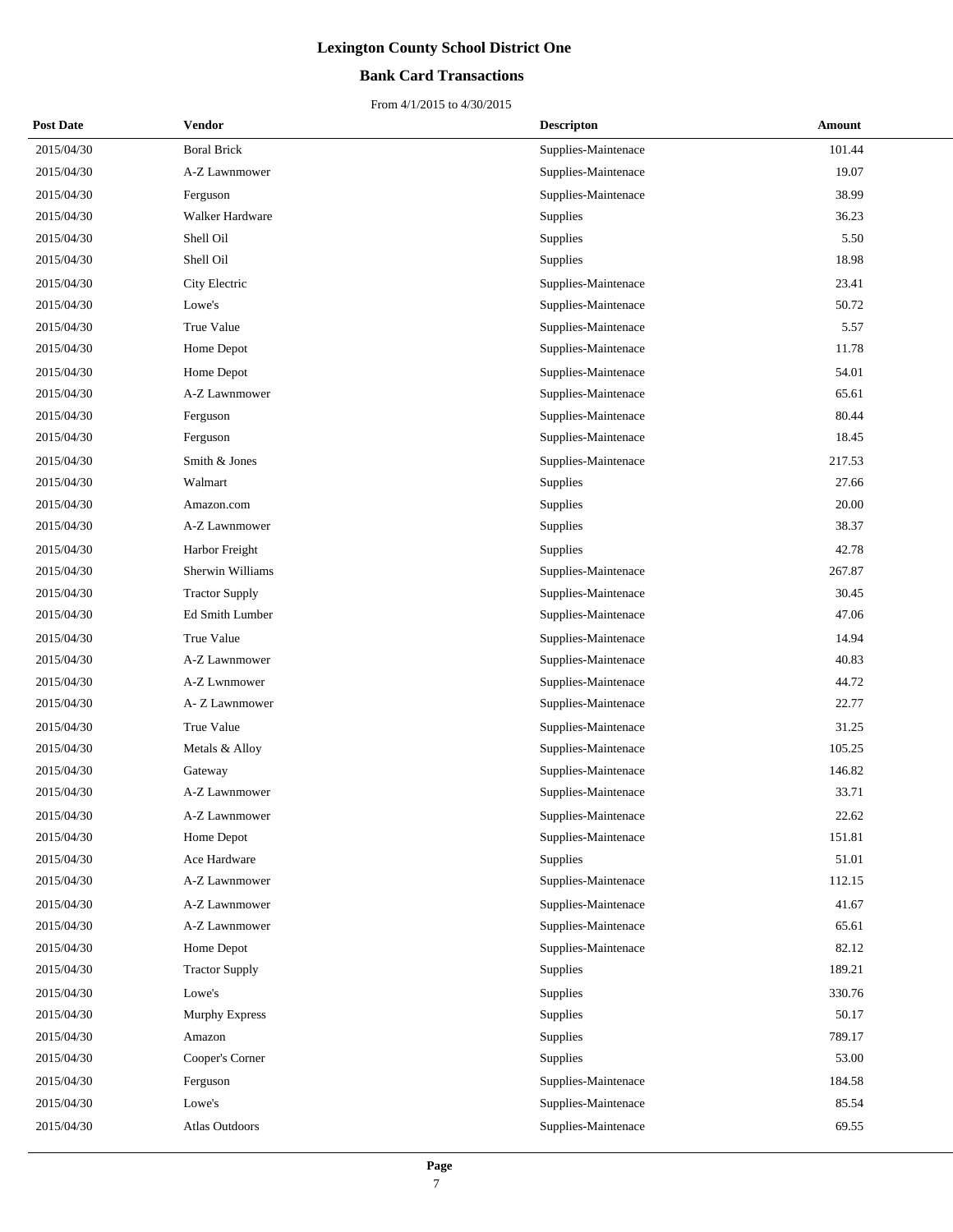### **Bank Card Transactions**

| <b>Post Date</b> | Vendor                | <b>Descripton</b>   | Amount |
|------------------|-----------------------|---------------------|--------|
| 2015/04/30       | <b>Boral Brick</b>    | Supplies-Maintenace | 101.44 |
| 2015/04/30       | A-Z Lawnmower         | Supplies-Maintenace | 19.07  |
| 2015/04/30       | Ferguson              | Supplies-Maintenace | 38.99  |
| 2015/04/30       | Walker Hardware       | Supplies            | 36.23  |
| 2015/04/30       | Shell Oil             | Supplies            | 5.50   |
| 2015/04/30       | Shell Oil             | Supplies            | 18.98  |
| 2015/04/30       | City Electric         | Supplies-Maintenace | 23.41  |
| 2015/04/30       | Lowe's                | Supplies-Maintenace | 50.72  |
| 2015/04/30       | True Value            | Supplies-Maintenace | 5.57   |
| 2015/04/30       | Home Depot            | Supplies-Maintenace | 11.78  |
| 2015/04/30       | Home Depot            | Supplies-Maintenace | 54.01  |
| 2015/04/30       | A-Z Lawnmower         | Supplies-Maintenace | 65.61  |
| 2015/04/30       | Ferguson              | Supplies-Maintenace | 80.44  |
| 2015/04/30       | Ferguson              | Supplies-Maintenace | 18.45  |
| 2015/04/30       | Smith & Jones         | Supplies-Maintenace | 217.53 |
| 2015/04/30       | Walmart               | Supplies            | 27.66  |
| 2015/04/30       | Amazon.com            | Supplies            | 20.00  |
| 2015/04/30       | A-Z Lawnmower         | Supplies            | 38.37  |
| 2015/04/30       | Harbor Freight        | Supplies            | 42.78  |
| 2015/04/30       | Sherwin Williams      | Supplies-Maintenace | 267.87 |
| 2015/04/30       | <b>Tractor Supply</b> | Supplies-Maintenace | 30.45  |
| 2015/04/30       | Ed Smith Lumber       | Supplies-Maintenace | 47.06  |
| 2015/04/30       | True Value            | Supplies-Maintenace | 14.94  |
| 2015/04/30       | A-Z Lawnmower         | Supplies-Maintenace | 40.83  |
| 2015/04/30       | A-Z Lwnmower          | Supplies-Maintenace | 44.72  |
| 2015/04/30       | A- Z Lawnmower        | Supplies-Maintenace | 22.77  |
| 2015/04/30       | True Value            | Supplies-Maintenace | 31.25  |
| 2015/04/30       | Metals & Alloy        | Supplies-Maintenace | 105.25 |
| 2015/04/30       | Gateway               | Supplies-Maintenace | 146.82 |
| 2015/04/30       | A-Z Lawnmower         | Supplies-Maintenace | 33.71  |
| 2015/04/30       | A-Z Lawnmower         | Supplies-Maintenace | 22.62  |
| 2015/04/30       | Home Depot            | Supplies-Maintenace | 151.81 |
| 2015/04/30       | Ace Hardware          | Supplies            | 51.01  |
| 2015/04/30       | A-Z Lawnmower         | Supplies-Maintenace | 112.15 |
| 2015/04/30       | A-Z Lawnmower         | Supplies-Maintenace | 41.67  |
| 2015/04/30       | A-Z Lawnmower         | Supplies-Maintenace | 65.61  |
| 2015/04/30       | Home Depot            | Supplies-Maintenace | 82.12  |
| 2015/04/30       | <b>Tractor Supply</b> | Supplies            | 189.21 |
| 2015/04/30       | Lowe's                | Supplies            | 330.76 |
| 2015/04/30       | <b>Murphy Express</b> | Supplies            | 50.17  |
| 2015/04/30       | Amazon                | Supplies            | 789.17 |
| 2015/04/30       | Cooper's Corner       | Supplies            | 53.00  |
| 2015/04/30       | Ferguson              | Supplies-Maintenace | 184.58 |
| 2015/04/30       | Lowe's                | Supplies-Maintenace | 85.54  |
| 2015/04/30       | Atlas Outdoors        | Supplies-Maintenace | 69.55  |
|                  |                       |                     |        |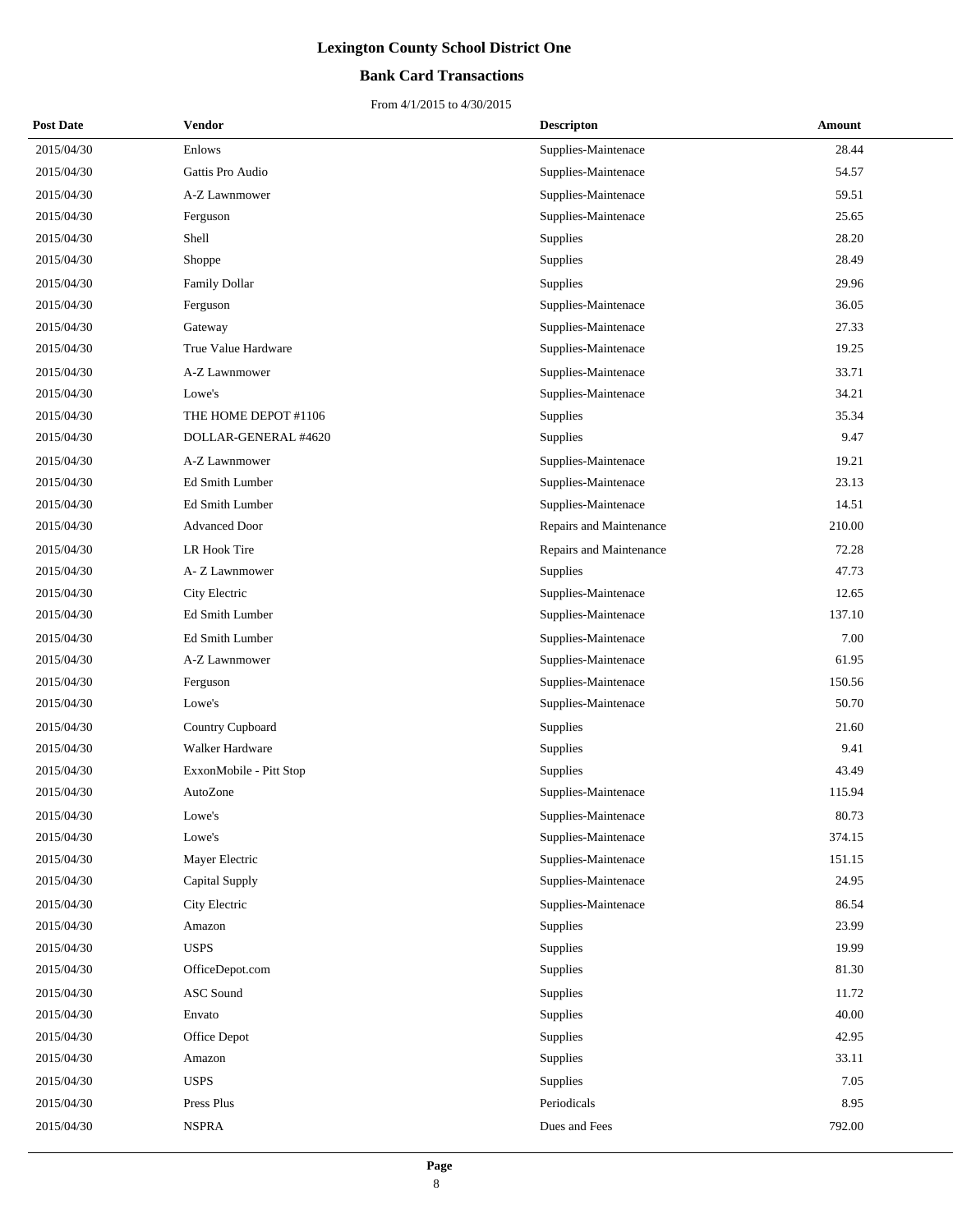### **Bank Card Transactions**

| <b>Post Date</b> | Vendor                  | <b>Descripton</b>       | Amount |
|------------------|-------------------------|-------------------------|--------|
| 2015/04/30       | Enlows                  | Supplies-Maintenace     | 28.44  |
| 2015/04/30       | Gattis Pro Audio        | Supplies-Maintenace     | 54.57  |
| 2015/04/30       | A-Z Lawnmower           | Supplies-Maintenace     | 59.51  |
| 2015/04/30       | Ferguson                | Supplies-Maintenace     | 25.65  |
| 2015/04/30       | Shell                   | Supplies                | 28.20  |
| 2015/04/30       | Shoppe                  | Supplies                | 28.49  |
| 2015/04/30       | Family Dollar           | Supplies                | 29.96  |
| 2015/04/30       | Ferguson                | Supplies-Maintenace     | 36.05  |
| 2015/04/30       | Gateway                 | Supplies-Maintenace     | 27.33  |
| 2015/04/30       | True Value Hardware     | Supplies-Maintenace     | 19.25  |
| 2015/04/30       | A-Z Lawnmower           | Supplies-Maintenace     | 33.71  |
| 2015/04/30       | Lowe's                  | Supplies-Maintenace     | 34.21  |
| 2015/04/30       | THE HOME DEPOT #1106    | Supplies                | 35.34  |
| 2015/04/30       | DOLLAR-GENERAL #4620    | Supplies                | 9.47   |
| 2015/04/30       | A-Z Lawnmower           | Supplies-Maintenace     | 19.21  |
| 2015/04/30       | Ed Smith Lumber         | Supplies-Maintenace     | 23.13  |
| 2015/04/30       | Ed Smith Lumber         | Supplies-Maintenace     | 14.51  |
| 2015/04/30       | <b>Advanced Door</b>    | Repairs and Maintenance | 210.00 |
| 2015/04/30       | LR Hook Tire            | Repairs and Maintenance | 72.28  |
| 2015/04/30       | A- Z Lawnmower          | Supplies                | 47.73  |
| 2015/04/30       | City Electric           | Supplies-Maintenace     | 12.65  |
| 2015/04/30       | Ed Smith Lumber         | Supplies-Maintenace     | 137.10 |
| 2015/04/30       | Ed Smith Lumber         | Supplies-Maintenace     | 7.00   |
| 2015/04/30       | A-Z Lawnmower           | Supplies-Maintenace     | 61.95  |
| 2015/04/30       | Ferguson                | Supplies-Maintenace     | 150.56 |
| 2015/04/30       | Lowe's                  | Supplies-Maintenace     | 50.70  |
| 2015/04/30       | Country Cupboard        | Supplies                | 21.60  |
| 2015/04/30       | Walker Hardware         | Supplies                | 9.41   |
| 2015/04/30       | ExxonMobile - Pitt Stop | Supplies                | 43.49  |
| 2015/04/30       | AutoZone                | Supplies-Maintenace     | 115.94 |
| 2015/04/30       | Lowe's                  | Supplies-Maintenace     | 80.73  |
| 2015/04/30       | Lowe's                  | Supplies-Maintenace     | 374.15 |
| 2015/04/30       | Mayer Electric          | Supplies-Maintenace     | 151.15 |
| 2015/04/30       | Capital Supply          | Supplies-Maintenace     | 24.95  |
| 2015/04/30       | City Electric           | Supplies-Maintenace     | 86.54  |
| 2015/04/30       | Amazon                  | Supplies                | 23.99  |
| 2015/04/30       | <b>USPS</b>             | Supplies                | 19.99  |
| 2015/04/30       | OfficeDepot.com         | Supplies                | 81.30  |
| 2015/04/30       | <b>ASC Sound</b>        | Supplies                | 11.72  |
| 2015/04/30       | Envato                  | Supplies                | 40.00  |
| 2015/04/30       | Office Depot            | Supplies                | 42.95  |
| 2015/04/30       | Amazon                  | Supplies                | 33.11  |
| 2015/04/30       | <b>USPS</b>             | Supplies                | 7.05   |
| 2015/04/30       | Press Plus              | Periodicals             | 8.95   |
| 2015/04/30       | <b>NSPRA</b>            | Dues and Fees           | 792.00 |
|                  |                         |                         |        |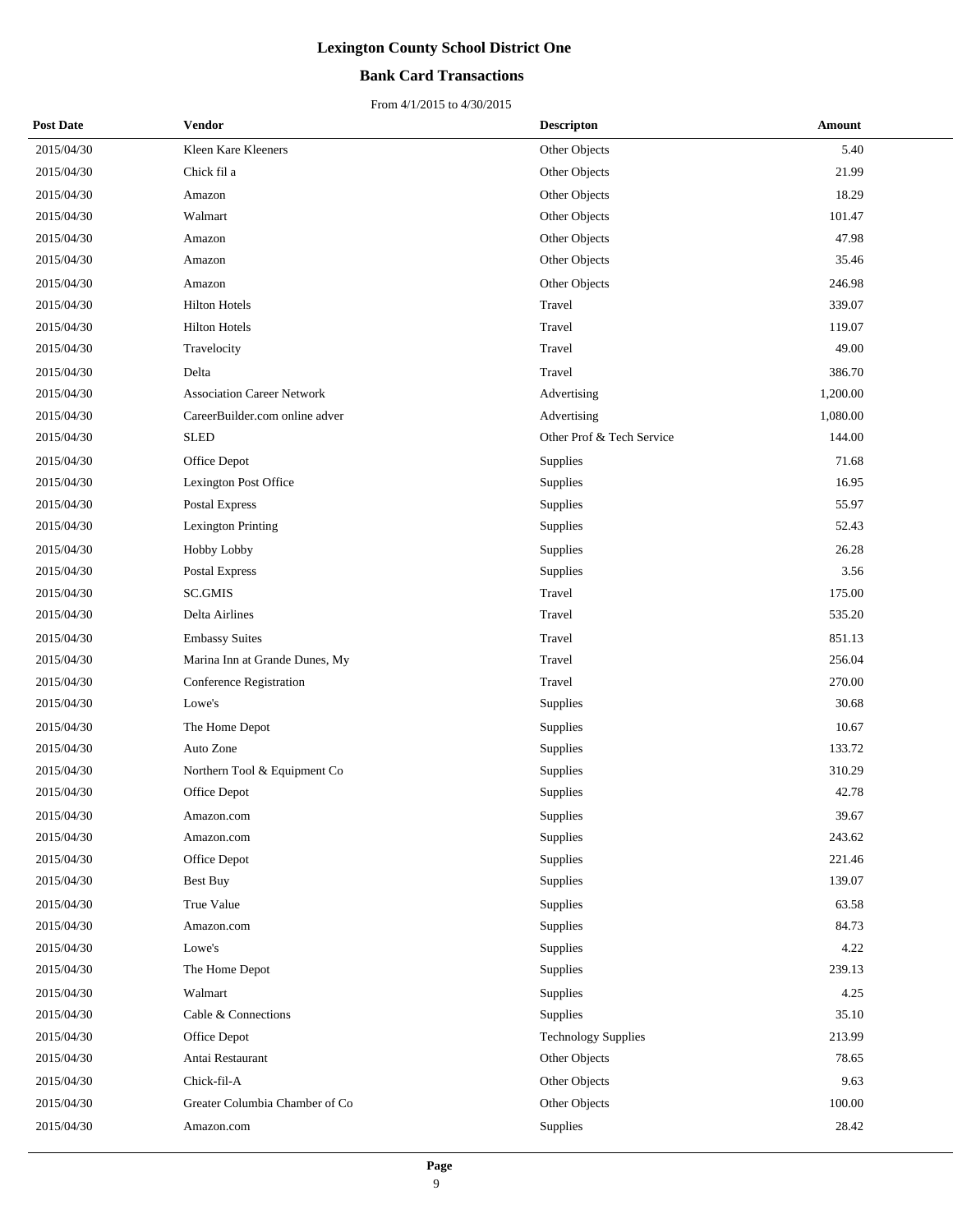### **Bank Card Transactions**

| <b>Post Date</b> | Vendor                            | <b>Descripton</b>          | Amount   |
|------------------|-----------------------------------|----------------------------|----------|
| 2015/04/30       | Kleen Kare Kleeners               | Other Objects              | 5.40     |
| 2015/04/30       | Chick fil a                       | Other Objects              | 21.99    |
| 2015/04/30       | Amazon                            | Other Objects              | 18.29    |
| 2015/04/30       | Walmart                           | Other Objects              | 101.47   |
| 2015/04/30       | Amazon                            | Other Objects              | 47.98    |
| 2015/04/30       | Amazon                            | Other Objects              | 35.46    |
| 2015/04/30       | Amazon                            | Other Objects              | 246.98   |
| 2015/04/30       | <b>Hilton Hotels</b>              | Travel                     | 339.07   |
| 2015/04/30       | <b>Hilton Hotels</b>              | Travel                     | 119.07   |
| 2015/04/30       | Travelocity                       | Travel                     | 49.00    |
| 2015/04/30       | Delta                             | Travel                     | 386.70   |
| 2015/04/30       | <b>Association Career Network</b> | Advertising                | 1,200.00 |
| 2015/04/30       | CareerBuilder.com online adver    | Advertising                | 1,080.00 |
| 2015/04/30       | <b>SLED</b>                       | Other Prof & Tech Service  | 144.00   |
| 2015/04/30       | Office Depot                      | Supplies                   | 71.68    |
| 2015/04/30       | Lexington Post Office             | Supplies                   | 16.95    |
| 2015/04/30       | Postal Express                    | Supplies                   | 55.97    |
| 2015/04/30       | <b>Lexington Printing</b>         | Supplies                   | 52.43    |
| 2015/04/30       | Hobby Lobby                       | Supplies                   | 26.28    |
| 2015/04/30       | Postal Express                    | Supplies                   | 3.56     |
| 2015/04/30       | SC.GMIS                           | Travel                     | 175.00   |
| 2015/04/30       | Delta Airlines                    | Travel                     | 535.20   |
| 2015/04/30       | <b>Embassy Suites</b>             | Travel                     | 851.13   |
| 2015/04/30       | Marina Inn at Grande Dunes, My    | Travel                     | 256.04   |
| 2015/04/30       | Conference Registration           | Travel                     | 270.00   |
| 2015/04/30       | Lowe's                            | Supplies                   | 30.68    |
| 2015/04/30       | The Home Depot                    | Supplies                   | 10.67    |
| 2015/04/30       | Auto Zone                         | Supplies                   | 133.72   |
| 2015/04/30       | Northern Tool & Equipment Co      | Supplies                   | 310.29   |
| 2015/04/30       | Office Depot                      | Supplies                   | 42.78    |
| 2015/04/30       | Amazon.com                        | Supplies                   | 39.67    |
| 2015/04/30       | Amazon.com                        | Supplies                   | 243.62   |
| 2015/04/30       | Office Depot                      | Supplies                   | 221.46   |
| 2015/04/30       | Best Buy                          | Supplies                   | 139.07   |
| 2015/04/30       | True Value                        | Supplies                   | 63.58    |
| 2015/04/30       | Amazon.com                        | Supplies                   | 84.73    |
| 2015/04/30       | Lowe's                            | Supplies                   | 4.22     |
| 2015/04/30       | The Home Depot                    | Supplies                   | 239.13   |
| 2015/04/30       | Walmart                           | Supplies                   | 4.25     |
| 2015/04/30       | Cable & Connections               | Supplies                   | 35.10    |
| 2015/04/30       | Office Depot                      | <b>Technology Supplies</b> | 213.99   |
| 2015/04/30       | Antai Restaurant                  | Other Objects              | 78.65    |
| 2015/04/30       | Chick-fil-A                       | Other Objects              | 9.63     |
| 2015/04/30       | Greater Columbia Chamber of Co    | Other Objects              | 100.00   |
| 2015/04/30       | Amazon.com                        | Supplies                   | 28.42    |
|                  |                                   |                            |          |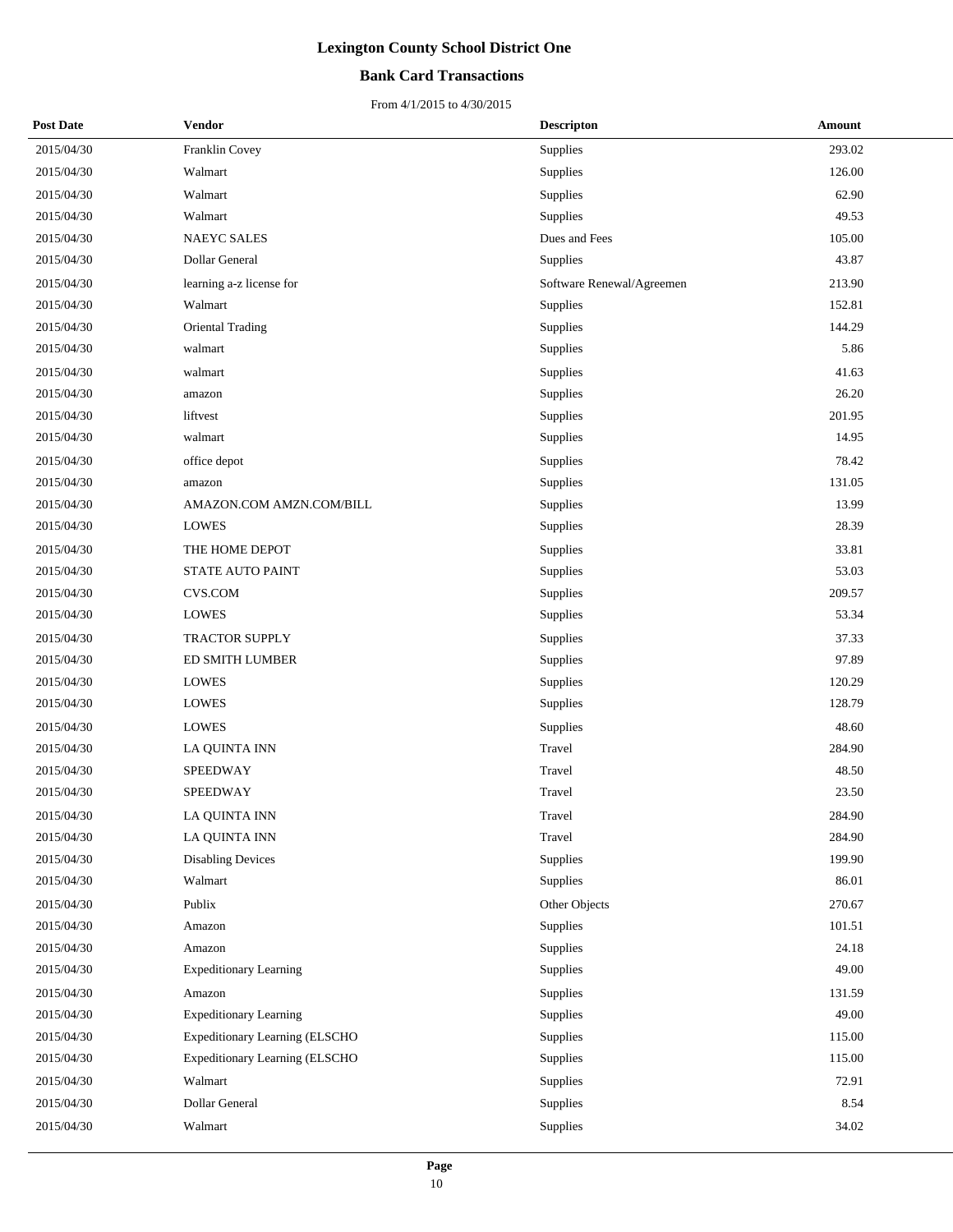### **Bank Card Transactions**

| <b>Post Date</b> | <b>Vendor</b>                  | <b>Descripton</b>         | Amount |
|------------------|--------------------------------|---------------------------|--------|
| 2015/04/30       | Franklin Covey                 | Supplies                  | 293.02 |
| 2015/04/30       | Walmart                        | Supplies                  | 126.00 |
| 2015/04/30       | Walmart                        | Supplies                  | 62.90  |
| 2015/04/30       | Walmart                        | Supplies                  | 49.53  |
| 2015/04/30       | NAEYC SALES                    | Dues and Fees             | 105.00 |
| 2015/04/30       | Dollar General                 | Supplies                  | 43.87  |
| 2015/04/30       | learning a-z license for       | Software Renewal/Agreemen | 213.90 |
| 2015/04/30       | Walmart                        | Supplies                  | 152.81 |
| 2015/04/30       | Oriental Trading               | Supplies                  | 144.29 |
| 2015/04/30       | walmart                        | Supplies                  | 5.86   |
| 2015/04/30       | walmart                        | Supplies                  | 41.63  |
| 2015/04/30       | amazon                         | Supplies                  | 26.20  |
| 2015/04/30       | liftvest                       | Supplies                  | 201.95 |
| 2015/04/30       | walmart                        | Supplies                  | 14.95  |
| 2015/04/30       | office depot                   | Supplies                  | 78.42  |
| 2015/04/30       | amazon                         | Supplies                  | 131.05 |
| 2015/04/30       | AMAZON.COM AMZN.COM/BILL       | Supplies                  | 13.99  |
| 2015/04/30       | <b>LOWES</b>                   | Supplies                  | 28.39  |
| 2015/04/30       | THE HOME DEPOT                 | Supplies                  | 33.81  |
| 2015/04/30       | STATE AUTO PAINT               | Supplies                  | 53.03  |
| 2015/04/30       | <b>CVS.COM</b>                 | Supplies                  | 209.57 |
| 2015/04/30       | LOWES                          | Supplies                  | 53.34  |
| 2015/04/30       | TRACTOR SUPPLY                 | Supplies                  | 37.33  |
| 2015/04/30       | ED SMITH LUMBER                | Supplies                  | 97.89  |
| 2015/04/30       | <b>LOWES</b>                   | Supplies                  | 120.29 |
| 2015/04/30       | LOWES                          | Supplies                  | 128.79 |
| 2015/04/30       | <b>LOWES</b>                   | Supplies                  | 48.60  |
| 2015/04/30       | LA QUINTA INN                  | Travel                    | 284.90 |
| 2015/04/30       | SPEEDWAY                       | Travel                    | 48.50  |
| 2015/04/30       | SPEEDWAY                       | Travel                    | 23.50  |
| 2015/04/30       | <b>LA OUINTA INN</b>           | Travel                    | 284.90 |
| 2015/04/30       | LA QUINTA INN                  | Travel                    | 284.90 |
| 2015/04/30       | <b>Disabling Devices</b>       | Supplies                  | 199.90 |
| 2015/04/30       | Walmart                        | Supplies                  | 86.01  |
| 2015/04/30       | Publix                         | Other Objects             | 270.67 |
| 2015/04/30       | Amazon                         | Supplies                  | 101.51 |
| 2015/04/30       | Amazon                         | Supplies                  | 24.18  |
| 2015/04/30       | <b>Expeditionary Learning</b>  | Supplies                  | 49.00  |
| 2015/04/30       | Amazon                         | Supplies                  | 131.59 |
| 2015/04/30       | <b>Expeditionary Learning</b>  | Supplies                  | 49.00  |
| 2015/04/30       | Expeditionary Learning (ELSCHO | Supplies                  | 115.00 |
| 2015/04/30       | Expeditionary Learning (ELSCHO | Supplies                  | 115.00 |
| 2015/04/30       | Walmart                        | Supplies                  | 72.91  |
| 2015/04/30       | Dollar General                 | Supplies                  | 8.54   |
| 2015/04/30       | Walmart                        | Supplies                  | 34.02  |
|                  |                                |                           |        |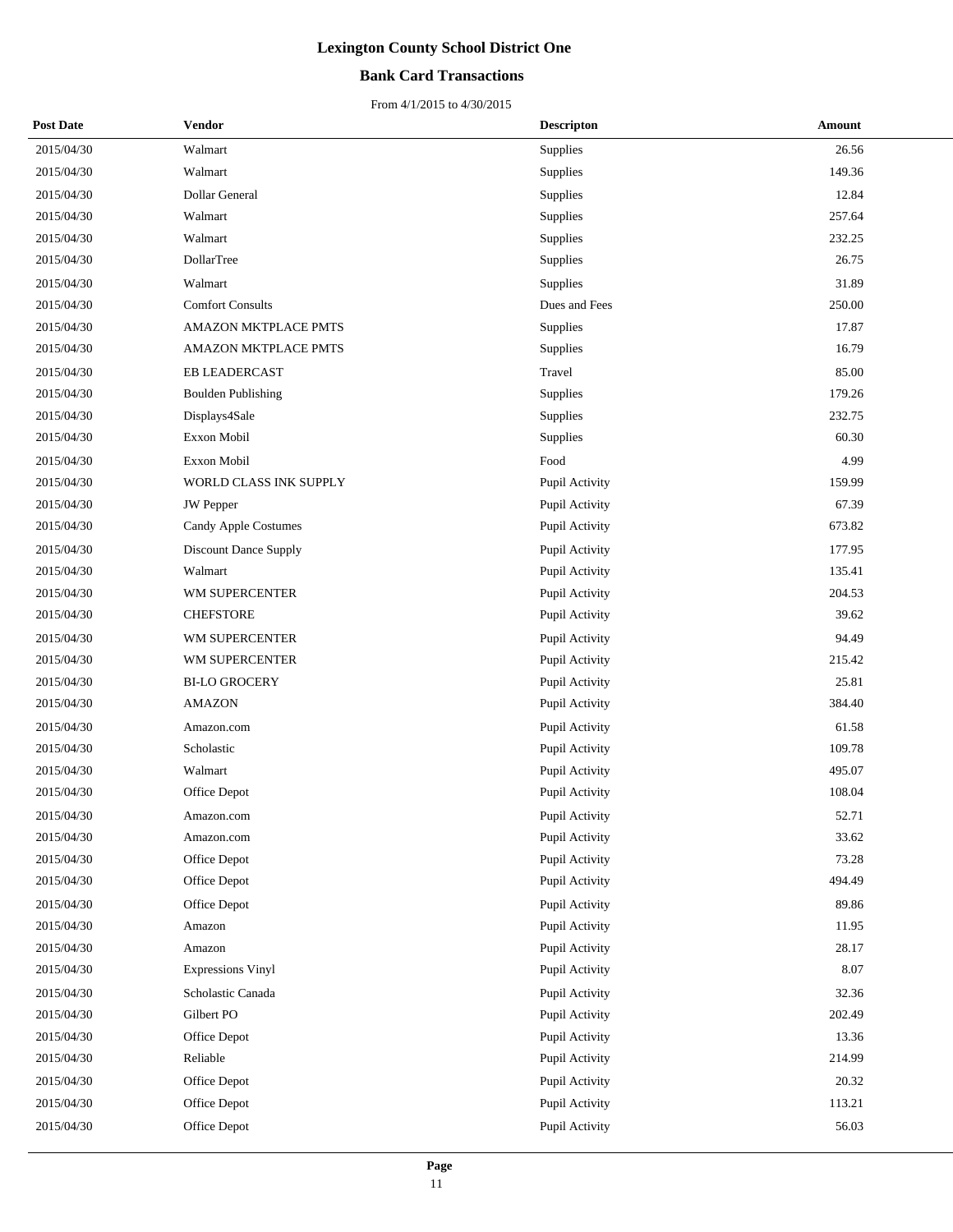### **Bank Card Transactions**

| <b>Post Date</b> | <b>Vendor</b>                | <b>Descripton</b> | Amount   |
|------------------|------------------------------|-------------------|----------|
| 2015/04/30       | Walmart                      | Supplies          | 26.56    |
| 2015/04/30       | Walmart                      | Supplies          | 149.36   |
| 2015/04/30       | Dollar General               | Supplies          | 12.84    |
| 2015/04/30       | Walmart                      | Supplies          | 257.64   |
| 2015/04/30       | Walmart                      | Supplies          | 232.25   |
| 2015/04/30       | DollarTree                   | Supplies          | 26.75    |
| 2015/04/30       | Walmart                      | Supplies          | 31.89    |
| 2015/04/30       | <b>Comfort Consults</b>      | Dues and Fees     | 250.00   |
| 2015/04/30       | AMAZON MKTPLACE PMTS         | Supplies          | 17.87    |
| 2015/04/30       | AMAZON MKTPLACE PMTS         | Supplies          | 16.79    |
| 2015/04/30       | EB LEADERCAST                | Travel            | 85.00    |
| 2015/04/30       | <b>Boulden Publishing</b>    | Supplies          | 179.26   |
| 2015/04/30       | Displays4Sale                | Supplies          | 232.75   |
| 2015/04/30       | Exxon Mobil                  | Supplies          | 60.30    |
| 2015/04/30       | Exxon Mobil                  | Food              | 4.99     |
| 2015/04/30       | WORLD CLASS INK SUPPLY       | Pupil Activity    | 159.99   |
| 2015/04/30       | <b>JW</b> Pepper             | Pupil Activity    | 67.39    |
| 2015/04/30       | <b>Candy Apple Costumes</b>  | Pupil Activity    | 673.82   |
| 2015/04/30       | <b>Discount Dance Supply</b> | Pupil Activity    | 177.95   |
| 2015/04/30       | Walmart                      | Pupil Activity    | 135.41   |
| 2015/04/30       | WM SUPERCENTER               | Pupil Activity    | 204.53   |
| 2015/04/30       | <b>CHEFSTORE</b>             | Pupil Activity    | 39.62    |
| 2015/04/30       | WM SUPERCENTER               | Pupil Activity    | 94.49    |
| 2015/04/30       | WM SUPERCENTER               | Pupil Activity    | 215.42   |
| 2015/04/30       | <b>BI-LO GROCERY</b>         | Pupil Activity    | 25.81    |
| 2015/04/30       | <b>AMAZON</b>                | Pupil Activity    | 384.40   |
| 2015/04/30       | Amazon.com                   | Pupil Activity    | 61.58    |
| 2015/04/30       | Scholastic                   | Pupil Activity    | 109.78   |
| 2015/04/30       | Walmart                      | Pupil Activity    | 495.07   |
| 2015/04/30       | Office Depot                 | Pupil Activity    | 108.04   |
| 2015/04/30       | Amazon.com                   | Pupil Activity    | 52.71    |
| 2015/04/30       | Amazon.com                   | Pupil Activity    | 33.62    |
| 2015/04/30       | Office Depot                 | Pupil Activity    | 73.28    |
| 2015/04/30       | Office Depot                 | Pupil Activity    | 494.49   |
| 2015/04/30       | Office Depot                 | Pupil Activity    | 89.86    |
| 2015/04/30       | Amazon                       | Pupil Activity    | 11.95    |
| 2015/04/30       | Amazon                       | Pupil Activity    | 28.17    |
| 2015/04/30       | <b>Expressions Vinyl</b>     | Pupil Activity    | $8.07\,$ |
| 2015/04/30       | Scholastic Canada            | Pupil Activity    | 32.36    |
| 2015/04/30       | Gilbert PO                   | Pupil Activity    | 202.49   |
| 2015/04/30       | Office Depot                 | Pupil Activity    | 13.36    |
| 2015/04/30       | Reliable                     | Pupil Activity    | 214.99   |
| 2015/04/30       | Office Depot                 | Pupil Activity    | 20.32    |
| 2015/04/30       | Office Depot                 | Pupil Activity    | 113.21   |
| 2015/04/30       | Office Depot                 | Pupil Activity    | 56.03    |
|                  |                              |                   |          |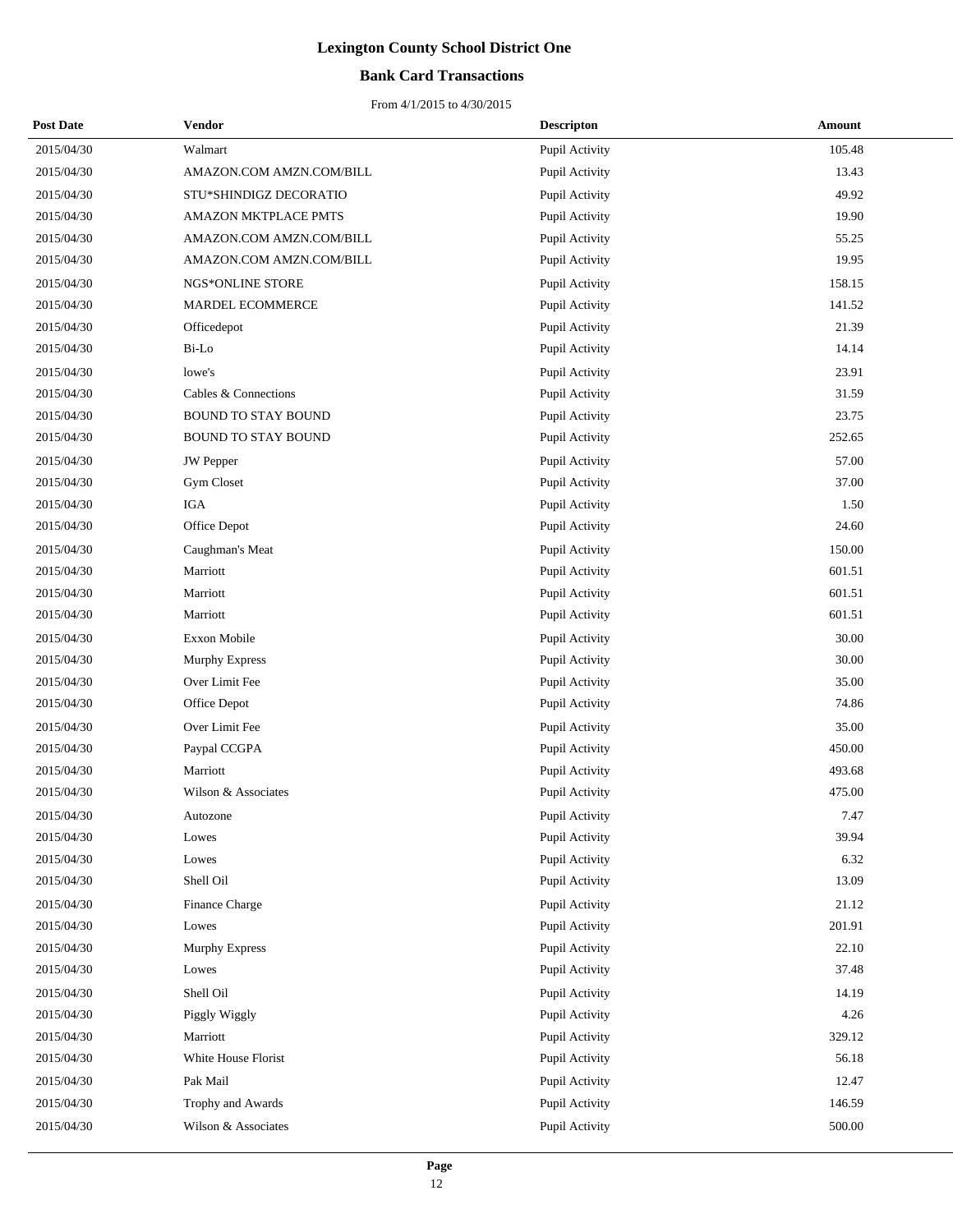### **Bank Card Transactions**

| <b>Post Date</b> | Vendor                     | <b>Descripton</b> | Amount |
|------------------|----------------------------|-------------------|--------|
| 2015/04/30       | Walmart                    | Pupil Activity    | 105.48 |
| 2015/04/30       | AMAZON.COM AMZN.COM/BILL   | Pupil Activity    | 13.43  |
| 2015/04/30       | STU*SHINDIGZ DECORATIO     | Pupil Activity    | 49.92  |
| 2015/04/30       | AMAZON MKTPLACE PMTS       | Pupil Activity    | 19.90  |
| 2015/04/30       | AMAZON.COM AMZN.COM/BILL   | Pupil Activity    | 55.25  |
| 2015/04/30       | AMAZON.COM AMZN.COM/BILL   | Pupil Activity    | 19.95  |
| 2015/04/30       | NGS*ONLINE STORE           | Pupil Activity    | 158.15 |
| 2015/04/30       | <b>MARDEL ECOMMERCE</b>    | Pupil Activity    | 141.52 |
| 2015/04/30       | Officedepot                | Pupil Activity    | 21.39  |
| 2015/04/30       | Bi-Lo                      | Pupil Activity    | 14.14  |
| 2015/04/30       | lowe's                     | Pupil Activity    | 23.91  |
| 2015/04/30       | Cables & Connections       | Pupil Activity    | 31.59  |
| 2015/04/30       | <b>BOUND TO STAY BOUND</b> | Pupil Activity    | 23.75  |
| 2015/04/30       | <b>BOUND TO STAY BOUND</b> | Pupil Activity    | 252.65 |
| 2015/04/30       | JW Pepper                  | Pupil Activity    | 57.00  |
| 2015/04/30       | Gym Closet                 | Pupil Activity    | 37.00  |
| 2015/04/30       | IGA                        | Pupil Activity    | 1.50   |
| 2015/04/30       | Office Depot               | Pupil Activity    | 24.60  |
| 2015/04/30       | Caughman's Meat            | Pupil Activity    | 150.00 |
| 2015/04/30       | Marriott                   | Pupil Activity    | 601.51 |
| 2015/04/30       | Marriott                   | Pupil Activity    | 601.51 |
| 2015/04/30       | Marriott                   | Pupil Activity    | 601.51 |
| 2015/04/30       | Exxon Mobile               | Pupil Activity    | 30.00  |
| 2015/04/30       | Murphy Express             | Pupil Activity    | 30.00  |
| 2015/04/30       | Over Limit Fee             | Pupil Activity    | 35.00  |
| 2015/04/30       | Office Depot               | Pupil Activity    | 74.86  |
| 2015/04/30       | Over Limit Fee             | Pupil Activity    | 35.00  |
| 2015/04/30       | Paypal CCGPA               | Pupil Activity    | 450.00 |
| 2015/04/30       | Marriott                   | Pupil Activity    | 493.68 |
| 2015/04/30       | Wilson & Associates        | Pupil Activity    | 475.00 |
| 2015/04/30       | Autozone                   | Pupil Activity    | 7.47   |
| 2015/04/30       | Lowes                      | Pupil Activity    | 39.94  |
| 2015/04/30       | Lowes                      | Pupil Activity    | 6.32   |
| 2015/04/30       | Shell Oil                  | Pupil Activity    | 13.09  |
| 2015/04/30       | Finance Charge             | Pupil Activity    | 21.12  |
| 2015/04/30       | Lowes                      | Pupil Activity    | 201.91 |
| 2015/04/30       | Murphy Express             | Pupil Activity    | 22.10  |
| 2015/04/30       | Lowes                      | Pupil Activity    | 37.48  |
| 2015/04/30       | Shell Oil                  | Pupil Activity    | 14.19  |
| 2015/04/30       | Piggly Wiggly              | Pupil Activity    | 4.26   |
| 2015/04/30       | Marriott                   | Pupil Activity    | 329.12 |
| 2015/04/30       | White House Florist        | Pupil Activity    | 56.18  |
| 2015/04/30       | Pak Mail                   | Pupil Activity    | 12.47  |
| 2015/04/30       | Trophy and Awards          | Pupil Activity    | 146.59 |
| 2015/04/30       | Wilson & Associates        | Pupil Activity    | 500.00 |
|                  |                            |                   |        |